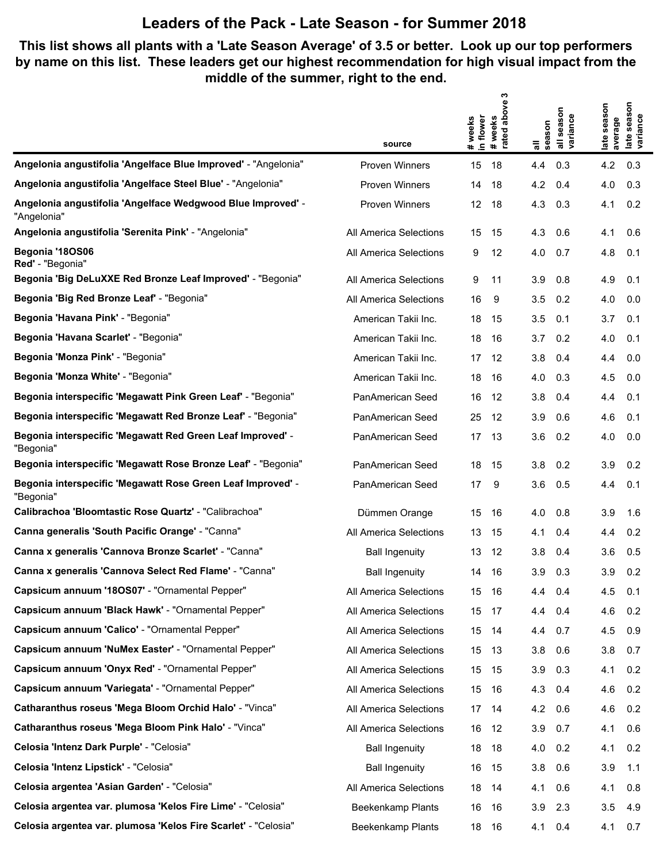#### **This list shows all plants with a 'Late Season Average' of 3.5 or better. Look up our top performers by name on this list. These leaders get our highest recommendation for high visual impact from the middle of the summer, right to the end.**

|                                                                            |                         | ო<br>above                    |                                            |                                                           |
|----------------------------------------------------------------------------|-------------------------|-------------------------------|--------------------------------------------|-----------------------------------------------------------|
|                                                                            |                         | # weeks<br>in flower<br>weeks | season<br>all seasoi<br>variance<br>season | season<br>late season<br>late seas<br>variance<br>average |
|                                                                            | source                  | rated<br>$\ddot{\phantom{1}}$ | 등                                          |                                                           |
| Angelonia angustifolia 'Angelface Blue Improved' - "Angelonia"             | <b>Proven Winners</b>   | 15<br>18                      | 0.3<br>4.4                                 | 4.2<br>0.3                                                |
| Angelonia angustifolia 'Angelface Steel Blue' - "Angelonia"                | <b>Proven Winners</b>   | 14<br>18                      | 4.2<br>0.4                                 | 4.0<br>0.3                                                |
| Angelonia angustifolia 'Angelface Wedgwood Blue Improved' -<br>"Angelonia" | <b>Proven Winners</b>   | 12<br>18                      | 4.3<br>0.3                                 | 4.1<br>0.2                                                |
| Angelonia angustifolia 'Serenita Pink' - "Angelonia"                       | All America Selections  | 15<br>15                      | 4.3<br>0.6                                 | 4.1<br>0.6                                                |
| Begonia '18OS06<br>Red' - "Begonia"                                        | All America Selections  | 9<br>12                       | 4.0<br>0.7                                 | 4.8<br>0.1                                                |
| Begonia 'Big DeLuXXE Red Bronze Leaf Improved' - "Begonia"                 | All America Selections  | 9<br>11                       | 3.9<br>0.8                                 | 4.9<br>0.1                                                |
| Begonia 'Big Red Bronze Leaf' - "Begonia"                                  | All America Selections  | 16<br>9                       | 3.5<br>0.2                                 | 4.0<br>0.0                                                |
| Begonia 'Havana Pink' - "Begonia"                                          | American Takii Inc.     | 18<br>15                      | 3.5<br>0.1                                 | 3.7<br>0.1                                                |
| Begonia 'Havana Scarlet' - "Begonia"                                       | American Takii Inc.     | 18<br>16                      | 3.7<br>0.2                                 | 4.0<br>0.1                                                |
| Begonia 'Monza Pink' - "Begonia"                                           | American Takii Inc.     | 17<br>12                      | 3.8<br>0.4                                 | 4.4<br>0.0                                                |
| Begonia 'Monza White' - "Begonia"                                          | American Takii Inc.     | 18<br>16                      | 0.3<br>4.0                                 | 4.5<br>0.0                                                |
| Begonia interspecific 'Megawatt Pink Green Leaf' - "Begonia"               | PanAmerican Seed        | 16<br>12                      | 3.8<br>0.4                                 | 4.4<br>0.1                                                |
| Begonia interspecific 'Megawatt Red Bronze Leaf' - "Begonia"               | PanAmerican Seed        | 25<br>12                      | 3.9<br>0.6                                 | 4.6<br>0.1                                                |
| Begonia interspecific 'Megawatt Red Green Leaf Improved' -<br>"Begonia"    | PanAmerican Seed        | 17<br>-13                     | 3.6<br>0.2                                 | 4.0<br>0.0                                                |
| Begonia interspecific 'Megawatt Rose Bronze Leaf' - "Begonia"              | PanAmerican Seed        | 18<br>15                      | 0.2<br>3.8                                 | 0.2<br>3.9                                                |
| Begonia interspecific 'Megawatt Rose Green Leaf Improved' -<br>"Begonia"   | <b>PanAmerican Seed</b> | 17<br>9                       | 3.6<br>0.5                                 | 0.1<br>4.4                                                |
| Calibrachoa 'Bloomtastic Rose Quartz' - "Calibrachoa"                      | Dümmen Orange           | 15<br>16                      | 4.0<br>0.8                                 | 3.9<br>1.6                                                |
| Canna generalis 'South Pacific Orange' - "Canna"                           | All America Selections  | 13<br>15                      | 4.1<br>0.4                                 | 0.2<br>4.4                                                |
| Canna x generalis 'Cannova Bronze Scarlet' - "Canna"                       | <b>Ball Ingenuity</b>   | 13<br>12                      | 3.8<br>0.4                                 | 3.6<br>0.5                                                |
| Canna x generalis 'Cannova Select Red Flame' - "Canna"                     | <b>Ball Ingenuity</b>   | 16<br>14                      | 3.9<br>0.3                                 | 3.9<br>0.2                                                |
| Capsicum annuum '180S07' - "Ornamental Pepper"                             | All America Selections  | 15<br>16                      | 4.4<br>0.4                                 | 4.5<br>0.1                                                |
| Capsicum annuum 'Black Hawk' - "Ornamental Pepper"                         | All America Selections  | 15<br>17                      | 0.4<br>4.4                                 | 4.6<br>0.2                                                |
| Capsicum annuum 'Calico' - "Ornamental Pepper"                             | All America Selections  | 15<br>-14                     | 0.7<br>4.4                                 | 4.5<br>0.9                                                |
| Capsicum annuum 'NuMex Easter' - "Ornamental Pepper"                       | All America Selections  | 15<br>-13                     | 3.8<br>0.6                                 | 3.8<br>0.7                                                |
| Capsicum annuum 'Onyx Red' - "Ornamental Pepper"                           | All America Selections  | 15<br>- 15                    | 3.9<br>0.3                                 | 0.2<br>4.1                                                |
| Capsicum annuum 'Variegata' - "Ornamental Pepper"                          | All America Selections  | 15<br>16                      | 4.3<br>0.4                                 | 0.2<br>4.6                                                |
| Catharanthus roseus 'Mega Bloom Orchid Halo' - "Vinca"                     | All America Selections  | 17<br>-14                     | 4.2<br>0.6                                 | 4.6<br>0.2                                                |
| Catharanthus roseus 'Mega Bloom Pink Halo' - "Vinca"                       | All America Selections  | 16<br>12                      | 3.9<br>0.7                                 | 0.6<br>4.1                                                |
| Celosia 'Intenz Dark Purple' - "Celosia"                                   | <b>Ball Ingenuity</b>   | 18<br>18                      | 4.0<br>0.2                                 | 0.2<br>4.1                                                |
| Celosia 'Intenz Lipstick' - "Celosia"                                      | <b>Ball Ingenuity</b>   | 16<br>15                      | 3.8<br>0.6                                 | 3.9<br>1.1                                                |
| Celosia argentea 'Asian Garden' - "Celosia"                                | All America Selections  | 18<br>-14                     | 0.6<br>4.1                                 | 0.8<br>4.1                                                |
| Celosia argentea var. plumosa 'Kelos Fire Lime' - "Celosia"                | Beekenkamp Plants       | 16<br>16                      | 3.9<br>2.3                                 | 3.5<br>4.9                                                |
| Celosia argentea var. plumosa 'Kelos Fire Scarlet' - "Celosia"             | Beekenkamp Plants       | 18 16                         | 0.4<br>4.1                                 | 4.1<br>0.7                                                |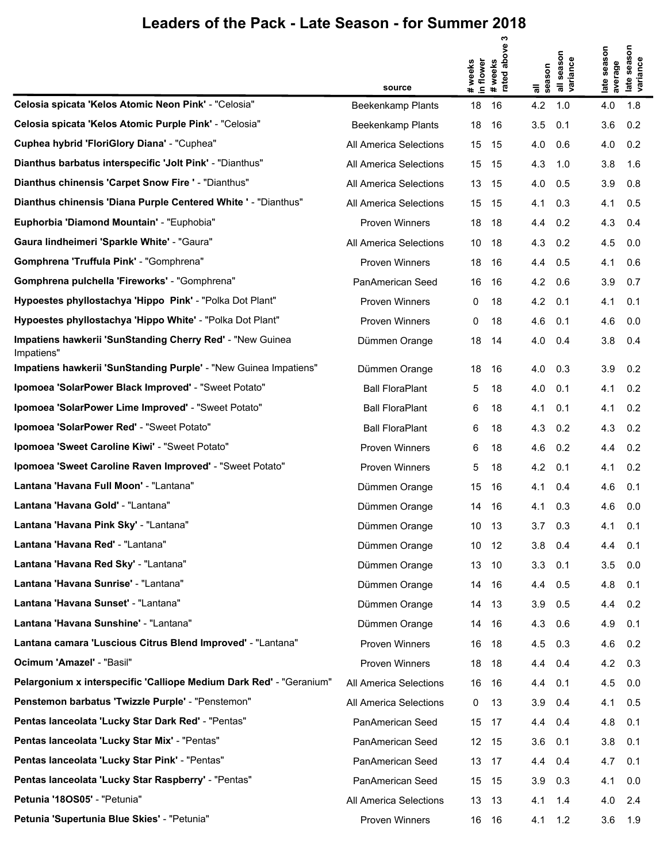|                                                                         | source                 | # weeks<br>in flower | ო<br>above<br># weeks<br>rated abo | all<br>season | all season<br>variance | season<br>average<br>late | season<br>late seaso<br>variance |
|-------------------------------------------------------------------------|------------------------|----------------------|------------------------------------|---------------|------------------------|---------------------------|----------------------------------|
| Celosia spicata 'Kelos Atomic Neon Pink' - "Celosia"                    | Beekenkamp Plants      | 18                   | 16                                 | 4.2           | 1.0                    | 4.0                       | 1.8                              |
| Celosia spicata 'Kelos Atomic Purple Pink' - "Celosia"                  | Beekenkamp Plants      | 18                   | 16                                 | 3.5           | 0.1                    | 3.6                       | 0.2                              |
| Cuphea hybrid 'FloriGlory Diana' - "Cuphea"                             | All America Selections | 15                   | 15                                 | 4.0           | 0.6                    | 4.0                       | 0.2                              |
| Dianthus barbatus interspecific 'Jolt Pink' - "Dianthus"                | All America Selections | 15                   | 15                                 | 4.3           | 1.0                    | 3.8                       | 1.6                              |
| Dianthus chinensis 'Carpet Snow Fire ' - "Dianthus"                     | All America Selections | 13                   | 15                                 | 4.0           | 0.5                    | 3.9                       | 0.8                              |
| Dianthus chinensis 'Diana Purple Centered White ' - "Dianthus"          | All America Selections | 15                   | 15                                 | 4.1           | 0.3                    | 4.1                       | 0.5                              |
| Euphorbia 'Diamond Mountain' - "Euphobia"                               | Proven Winners         | 18                   | 18                                 | 4.4           | 0.2                    | 4.3                       | 0.4                              |
| Gaura lindheimeri 'Sparkle White' - "Gaura"                             | All America Selections | 10                   | 18                                 | 4.3           | 0.2                    | 4.5                       | 0.0                              |
| Gomphrena 'Truffula Pink' - "Gomphrena"                                 | Proven Winners         | 18                   | 16                                 | 4.4           | 0.5                    | 4.1                       | 0.6                              |
| Gomphrena pulchella 'Fireworks' - "Gomphrena"                           | PanAmerican Seed       | 16                   | 16                                 | 4.2           | 0.6                    | 3.9                       | 0.7                              |
| Hypoestes phyllostachya 'Hippo Pink' - "Polka Dot Plant"                | Proven Winners         | 0                    | 18                                 | 4.2           | 0.1                    | 4.1                       | 0.1                              |
| Hypoestes phyllostachya 'Hippo White' - "Polka Dot Plant"               | Proven Winners         | 0                    | 18                                 | 4.6           | 0.1                    | 4.6                       | 0.0                              |
| Impatiens hawkerii 'SunStanding Cherry Red' - "New Guinea<br>Impatiens" | Dümmen Orange          | 18                   | 14                                 | 4.0           | 0.4                    | 3.8                       | 0.4                              |
| Impatiens hawkerii 'SunStanding Purple' - "New Guinea Impatiens"        | Dümmen Orange          | 18                   | 16                                 | 4.0           | 0.3                    | 3.9                       | 0.2                              |
| Ipomoea 'SolarPower Black Improved' - "Sweet Potato"                    | <b>Ball FloraPlant</b> | 5                    | 18                                 | 4.0           | 0.1                    | 4.1                       | 0.2                              |
| Ipomoea 'SolarPower Lime Improved' - "Sweet Potato"                     | <b>Ball FloraPlant</b> | 6                    | 18                                 | 4.1           | 0.1                    | 4.1                       | 0.2                              |
| Ipomoea 'SolarPower Red' - "Sweet Potato"                               | <b>Ball FloraPlant</b> | 6                    | 18                                 | 4.3           | 0.2                    | 4.3                       | 0.2                              |
| Ipomoea 'Sweet Caroline Kiwi' - "Sweet Potato"                          | Proven Winners         | 6                    | 18                                 | 4.6           | 0.2                    | 4.4                       | 0.2                              |
| Ipomoea 'Sweet Caroline Raven Improved' - "Sweet Potato"                | Proven Winners         | 5                    | 18                                 | 4.2           | 0.1                    | 4.1                       | 0.2                              |
| Lantana 'Havana Full Moon' - "Lantana"                                  | Dümmen Orange          | 15                   | 16                                 | 4.1           | 0.4                    | 4.6                       | 0.1                              |
| Lantana 'Havana Gold' - "Lantana"                                       | Dümmen Orange          | 14                   | 16                                 | 4.1           | 0.3                    | 4.6                       | 0.0                              |
| Lantana 'Havana Pink Sky' - "Lantana"                                   | Dümmen Orange          | 10                   | 13                                 | 3.7           | 0.3                    | 4.1                       | 0.1                              |
| Lantana 'Havana Red' - "Lantana"                                        | Dümmen Orange          | 10                   | 12                                 | 3.8           | 0.4                    | 4.4                       | 0.1                              |
| Lantana 'Havana Red Sky' - "Lantana"                                    | Dümmen Orange          | 13                   | 10                                 | 3.3           | 0.1                    | 3.5                       | 0.0                              |
| Lantana 'Havana Sunrise' - "Lantana"                                    | Dümmen Orange          | 14                   | 16                                 | 4.4           | 0.5                    | 4.8                       | 0.1                              |
| Lantana 'Havana Sunset' - "Lantana"                                     | Dümmen Orange          | 14                   | 13                                 | 3.9           | 0.5                    | 4.4                       | 0.2                              |
| Lantana 'Havana Sunshine' - "Lantana"                                   | Dümmen Orange          | 14                   | 16                                 | 4.3           | 0.6                    | 4.9                       | 0.1                              |
| Lantana camara 'Luscious Citrus Blend Improved' - "Lantana"             | Proven Winners         | 16                   | 18                                 | 4.5           | 0.3                    | 4.6                       | 0.2                              |
| Ocimum 'Amazel' - "Basil"                                               | Proven Winners         | 18                   | 18                                 | 4.4           | 0.4                    | 4.2                       | 0.3                              |
| Pelargonium x interspecific 'Calliope Medium Dark Red' - "Geranium"     | All America Selections | 16                   | 16                                 | 4.4           | 0.1                    | 4.5                       | 0.0                              |
| Penstemon barbatus 'Twizzle Purple' - "Penstemon"                       | All America Selections | 0                    | 13                                 | 3.9           | 0.4                    | 4.1                       | 0.5                              |
| Pentas lanceolata 'Lucky Star Dark Red' - "Pentas"                      | PanAmerican Seed       | 15                   | 17                                 | 4.4           | 0.4                    | 4.8                       | 0.1                              |
| Pentas lanceolata 'Lucky Star Mix' - "Pentas"                           | PanAmerican Seed       | 12                   | 15                                 | 3.6           | 0.1                    | 3.8                       | 0.1                              |
| Pentas lanceolata 'Lucky Star Pink' - "Pentas"                          | PanAmerican Seed       | 13                   | 17                                 | 4.4           | 0.4                    | 4.7                       | 0.1                              |
| Pentas lanceolata 'Lucky Star Raspberry' - "Pentas"                     | PanAmerican Seed       | 15                   | 15                                 | 3.9           | 0.3                    | 4.1                       | 0.0                              |
| Petunia '180S05' - "Petunia"                                            | All America Selections | 13                   | 13                                 | 4.1           | 1.4                    | 4.0                       | 2.4                              |
| Petunia 'Supertunia Blue Skies' - "Petunia"                             | Proven Winners         | 16                   | - 16                               | 4.1           | 1.2                    | 3.6                       | 1.9                              |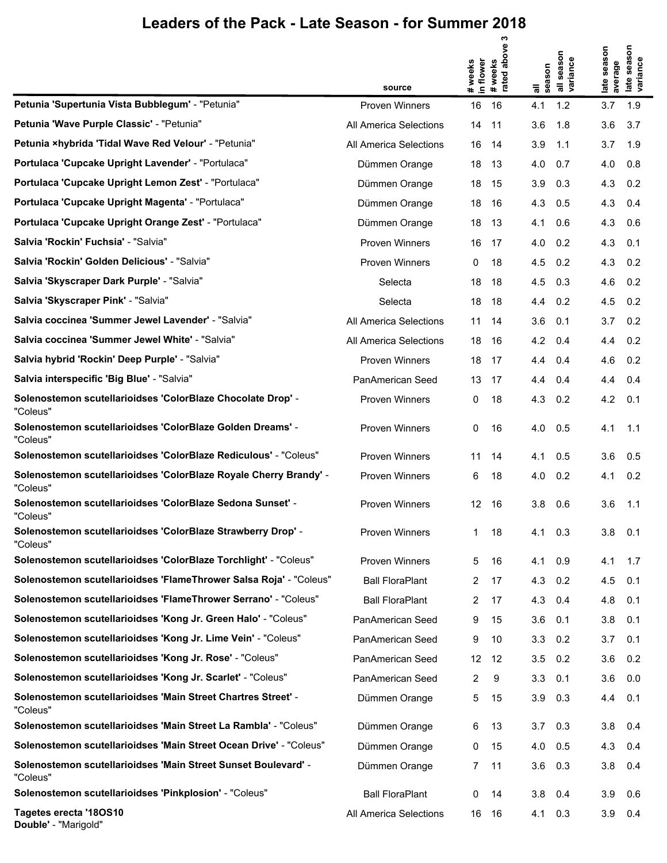|                                                                               |                        |                      | ო<br>above    |                 |                    |                   | son          |
|-------------------------------------------------------------------------------|------------------------|----------------------|---------------|-----------------|--------------------|-------------------|--------------|
|                                                                               |                        | in flower<br>weeks   | weeks         |                 | season<br>variance | season<br>average | ance<br>sea  |
|                                                                               | source                 | $\ddot{\phantom{1}}$ | #wee<br>rated | season<br>᠊ᢛ    |                    | late              | late<br>yari |
| Petunia 'Supertunia Vista Bubblegum' - "Petunia"                              | <b>Proven Winners</b>  | 16                   | 16            | 4.1             | 1.2                | 3.7               | 1.9          |
| Petunia 'Wave Purple Classic' - "Petunia"                                     | All America Selections | 14                   | 11            | 3.6             | 1.8                | 3.6               | 3.7          |
| Petunia ×hybrida 'Tidal Wave Red Velour' - "Petunia"                          | All America Selections | 16                   | 14            | 3.9             | 1.1                | 3.7               | 1.9          |
| Portulaca 'Cupcake Upright Lavender' - "Portulaca"                            | Dümmen Orange          | 18                   | 13            | 4.0             | 0.7                | 4.0               | 0.8          |
| Portulaca 'Cupcake Upright Lemon Zest' - "Portulaca"                          | Dümmen Orange          | 18                   | 15            | 3.9             | 0.3                | 4.3               | 0.2          |
| Portulaca 'Cupcake Upright Magenta' - "Portulaca"                             | Dümmen Orange          | 18                   | 16            | 4.3             | 0.5                | 4.3               | 0.4          |
| Portulaca 'Cupcake Upright Orange Zest' - "Portulaca"                         | Dümmen Orange          | 18                   | 13            | 4.1             | 0.6                | 4.3               | 0.6          |
| Salvia 'Rockin' Fuchsia' - "Salvia"                                           | <b>Proven Winners</b>  | 16                   | 17            | 4.0             | 0.2                | 4.3               | 0.1          |
| Salvia 'Rockin' Golden Delicious' - "Salvia"                                  | <b>Proven Winners</b>  | 0                    | 18            | 4.5             | 0.2                | 4.3               | 0.2          |
| Salvia 'Skyscraper Dark Purple' - "Salvia"                                    | Selecta                | 18                   | 18            | 4.5             | 0.3                | 4.6               | 0.2          |
| Salvia 'Skyscraper Pink' - "Salvia"                                           | Selecta                | 18                   | 18            | 4.4             | 0.2                | 4.5               | 0.2          |
| Salvia coccinea 'Summer Jewel Lavender' - "Salvia"                            | All America Selections | 11                   | 14            | 3.6             | 0.1                | 3.7               | 0.2          |
| Salvia coccinea 'Summer Jewel White' - "Salvia"                               | All America Selections | 18                   | 16            | 4.2             | 0.4                | 4.4               | 0.2          |
| Salvia hybrid 'Rockin' Deep Purple' - "Salvia"                                | <b>Proven Winners</b>  | 18                   | 17            | 4.4             | 0.4                | 4.6               | 0.2          |
| Salvia interspecific 'Big Blue' - "Salvia"                                    | PanAmerican Seed       | 13                   | 17            | 4.4             | 0.4                | 4.4               | 0.4          |
| Solenostemon scutellarioidses 'ColorBlaze Chocolate Drop' -<br>"Coleus"       | <b>Proven Winners</b>  | 0                    | 18            | 4.3             | 0.2                | 4.2               | 0.1          |
| Solenostemon scutellarioidses 'ColorBlaze Golden Dreams' -<br>"Coleus"        | <b>Proven Winners</b>  | 0                    | 16            | 4.0             | 0.5                | 4.1               | 1.1          |
| Solenostemon scutellarioidses 'ColorBlaze Rediculous' - "Coleus"              | <b>Proven Winners</b>  | 11                   | 14            | 4.1             | 0.5                | 3.6               | 0.5          |
| Solenostemon scutellarioidses 'ColorBlaze Royale Cherry Brandy' -<br>"Coleus" | <b>Proven Winners</b>  | 6                    | 18            | 4.0             | 0.2                | 4.1               | 0.2          |
| Solenostemon scutellarioidses 'ColorBlaze Sedona Sunset' -<br>"Coleus"        | <b>Proven Winners</b>  | 12                   | 16            | 3.8             | 0.6                | 3.6               | 1.1          |
| Solenostemon scutellarioidses 'ColorBlaze Strawberry Drop' -<br>"Coleus"      | <b>Proven Winners</b>  | $\mathbf{1}$         | 18            | $4.1 \quad 0.3$ |                    | 3.8               | 0.1          |
| Solenostemon scutellarioidses 'ColorBlaze Torchlight' - "Coleus"              | <b>Proven Winners</b>  | 5                    | 16            | 4.1             | 0.9                | 4.1               | 1.7          |
| Solenostemon scutellarioidses 'FlameThrower Salsa Roja' - "Coleus"            | <b>Ball FloraPlant</b> | 2                    | 17            | 4.3             | 0.2                | 4.5               | 0.1          |
| Solenostemon scutellarioidses 'FlameThrower Serrano' - "Coleus"               | <b>Ball FloraPlant</b> | 2                    | 17            | 4.3             | 0.4                | 4.8               | 0.1          |
| Solenostemon scutellarioidses 'Kong Jr. Green Halo' - "Coleus"                | PanAmerican Seed       | 9                    | 15            | 3.6             | 0.1                | 3.8               | 0.1          |
| Solenostemon scutellarioidses 'Kong Jr. Lime Vein' - "Coleus"                 | PanAmerican Seed       | 9                    | 10            | 3.3             | 0.2                | 3.7               | 0.1          |
| Solenostemon scutellarioidses 'Kong Jr. Rose' - "Coleus"                      | PanAmerican Seed       | 12                   | -12           | 3.5             | 0.2                | 3.6               | 0.2          |
| Solenostemon scutellarioidses 'Kong Jr. Scarlet' - "Coleus"                   | PanAmerican Seed       | 2                    | 9             | 3.3             | 0.1                | 3.6               | 0.0          |
| Solenostemon scutellarioidses 'Main Street Chartres Street' -<br>"Coleus"     | Dümmen Orange          | 5                    | 15            | 3.9             | 0.3                | 4.4               | 0.1          |
| Solenostemon scutellarioidses 'Main Street La Rambla' - "Coleus"              | Dümmen Orange          | 6                    | 13            | $3.7\quad 0.3$  |                    | 3.8               | 0.4          |
| Solenostemon scutellarioidses 'Main Street Ocean Drive' - "Coleus"            | Dümmen Orange          | 0                    | 15            | $4.0\quad 0.5$  |                    | 4.3               | 0.4          |
| Solenostemon scutellarioidses 'Main Street Sunset Boulevard' -<br>"Coleus"    | Dümmen Orange          | 7                    | 11            | 3.6             | 0.3                | 3.8               | 0.4          |
| Solenostemon scutellarioidses 'Pinkplosion' - "Coleus"                        | <b>Ball FloraPlant</b> | 0                    | 14            | 3.8             | 0.4                | 3.9               | 0.6          |
| Tagetes erecta '18OS10                                                        | All America Selections | 16                   | - 16          | 4.1             | 0.3                | 3.9               | 0.4          |

**Double'** - "Marigold"